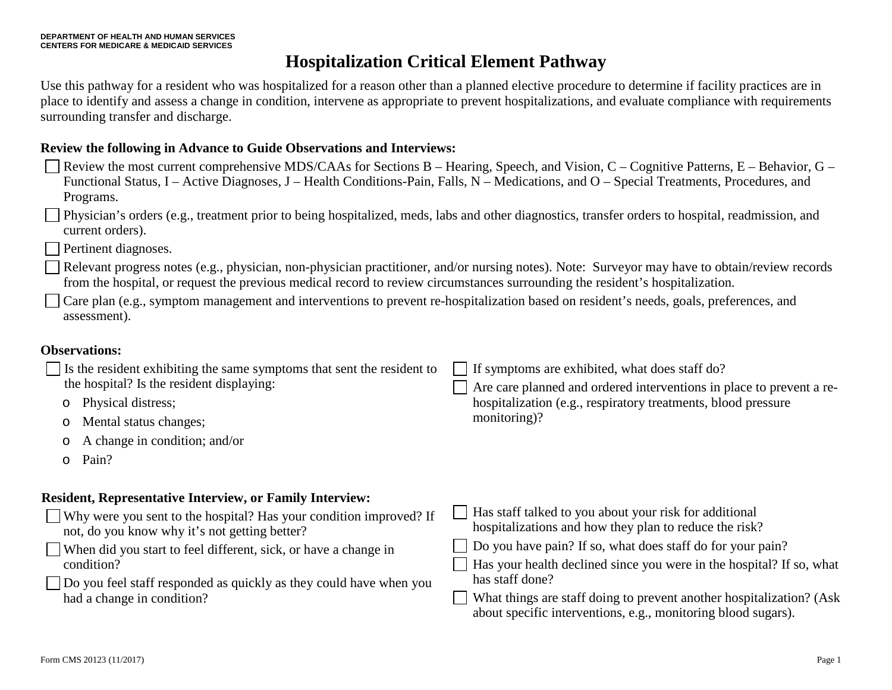Use this pathway for a resident who was hospitalized for a reason other than a planned elective procedure to determine if facility practices are in place to identify and assess a change in condition, intervene as appropriate to prevent hospitalizations, and evaluate compliance with requirements surrounding transfer and discharge.

### **Review the following in Advance to Guide Observations and Interviews:**

- Review the most current comprehensive MDS/CAAs for Sections B Hearing, Speech, and Vision, C Cognitive Patterns, E Behavior, G Functional Status, I – Active Diagnoses, J – Health Conditions-Pain, Falls, N – Medications, and O – Special Treatments, Procedures, and Programs.
- Physician's orders (e.g., treatment prior to being hospitalized, meds, labs and other diagnostics, transfer orders to hospital, readmission, and current orders).
- Pertinent diagnoses.
- Relevant progress notes (e.g., physician, non-physician practitioner, and/or nursing notes). Note: Surveyor may have to obtain/review records from the hospital, or request the previous medical record to review circumstances surrounding the resident's hospitalization.
- Care plan (e.g., symptom management and interventions to prevent re-hospitalization based on resident's needs, goals, preferences, and assessment).

#### **Observations:**

| Is the resident exhibiting the same symptoms that sent the resident to<br>the hospital? Is the resident displaying:<br>Physical distress;<br>Mental status changes;<br>A change in condition; and/or | If symptoms are exhibited, what does staff do?<br>Are care planned and ordered interventions in place to prevent a re-<br>hospitalization (e.g., respiratory treatments, blood pressure<br>monitoring)?                                                                   |
|------------------------------------------------------------------------------------------------------------------------------------------------------------------------------------------------------|---------------------------------------------------------------------------------------------------------------------------------------------------------------------------------------------------------------------------------------------------------------------------|
| $\circ$<br>Pain?<br>$\circ$                                                                                                                                                                          |                                                                                                                                                                                                                                                                           |
| <b>Resident, Representative Interview, or Family Interview:</b>                                                                                                                                      |                                                                                                                                                                                                                                                                           |
| Why were you sent to the hospital? Has your condition improved? If<br>not, do you know why it's not getting better?<br>When did you start to feel different, sick, or have a change in<br>condition? | Has staff talked to you about your risk for additional<br>hospitalizations and how they plan to reduce the risk?<br>Do you have pain? If so, what does staff do for your pain?<br>Has your health declined since you were in the hospital? If so, what<br>has staff done? |
| Do you feel staff responded as quickly as they could have when you<br>had a change in condition?                                                                                                     | What things are staff doing to prevent another hospitalization? (Ask<br>about specific interventions, e.g., monitoring blood sugars).                                                                                                                                     |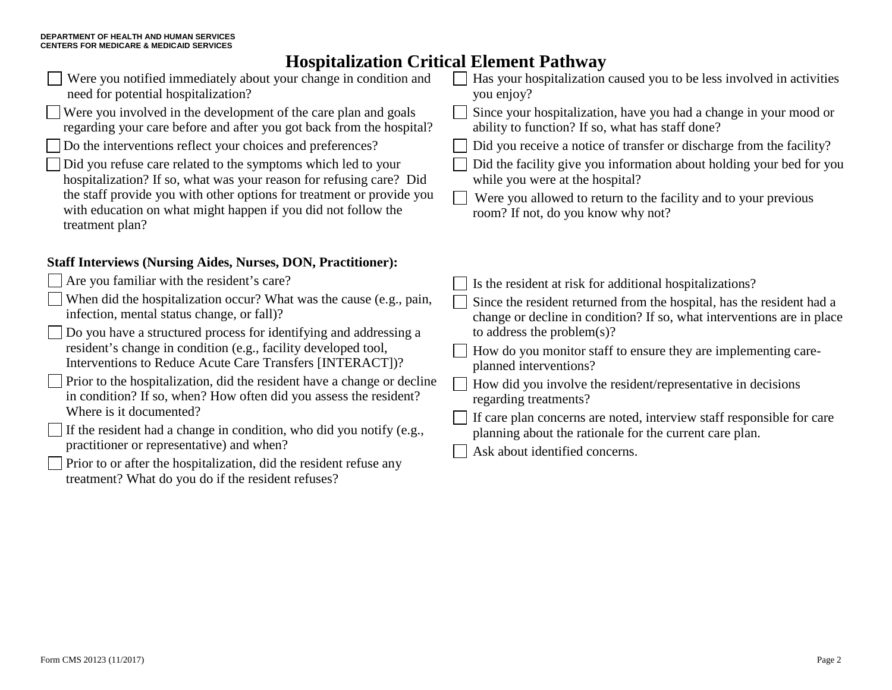| Were you notified immediately about your change in condition and<br>need for potential hospitalization?                                                   | Has your hospitalization caused you to be less involved in activities<br>you enjoy?                                                             |
|-----------------------------------------------------------------------------------------------------------------------------------------------------------|-------------------------------------------------------------------------------------------------------------------------------------------------|
| Were you involved in the development of the care plan and goals<br>regarding your care before and after you got back from the hospital?                   | Since your hospitalization, have you had a change in your mood or<br>ability to function? If so, what has staff done?                           |
| Do the interventions reflect your choices and preferences?                                                                                                | Did you receive a notice of transfer or discharge from the facility?                                                                            |
| Did you refuse care related to the symptoms which led to your<br>hospitalization? If so, what was your reason for refusing care? Did                      | Did the facility give you information about holding your bed for you<br>while you were at the hospital?                                         |
| the staff provide you with other options for treatment or provide you<br>with education on what might happen if you did not follow the<br>treatment plan? | Were you allowed to return to the facility and to your previous<br>room? If not, do you know why not?                                           |
| <b>Staff Interviews (Nursing Aides, Nurses, DON, Practitioner):</b>                                                                                       |                                                                                                                                                 |
| $\Box$ Are you familiar with the resident's care?                                                                                                         | Is the resident at risk for additional hospitalizations?                                                                                        |
| $\Box$ When did the hospitalization occur? What was the cause (e.g., pain,<br>infection, mental status change, or fall)?                                  | Since the resident returned from the hospital, has the resident had a<br>change or decline in condition? If so, what interventions are in place |
| $\Box$ Do you have a structured process for identifying and addressing a                                                                                  | to address the problem $(s)$ ?                                                                                                                  |
| resident's change in condition (e.g., facility developed tool,<br>Interventions to Reduce Acute Care Transfers [INTERACT])?                               | How do you monitor staff to ensure they are implementing care-<br>planned interventions?                                                        |
| $\Box$ Prior to the hospitalization, did the resident have a change or decline<br>in condition? If so, when? How often did you assess the resident?       | How did you involve the resident/representative in decisions<br>regarding treatments?                                                           |
| Where is it documented?                                                                                                                                   | If care plan concerns are noted, interview staff responsible for care                                                                           |
| $\Box$ If the resident had a change in condition, who did you notify (e.g.,                                                                               | planning about the rationale for the current care plan.                                                                                         |
| practitioner or representative) and when?                                                                                                                 | Ask about identified concerns.                                                                                                                  |
| $\Box$ Prior to or after the hospitalization, did the resident refuse any<br>treatment? What do you do if the resident refuses?                           |                                                                                                                                                 |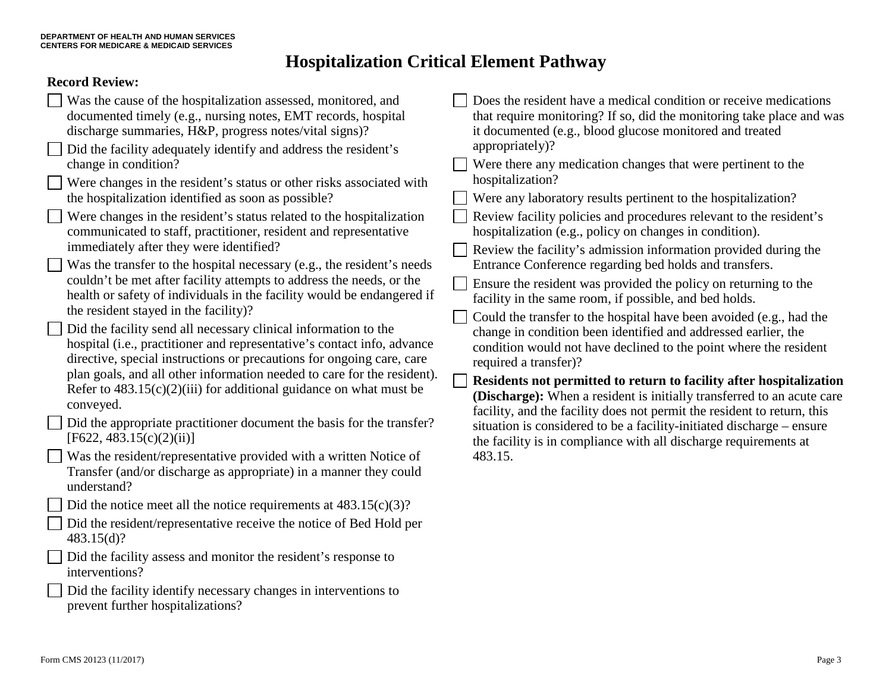### **Record Review:**

|--|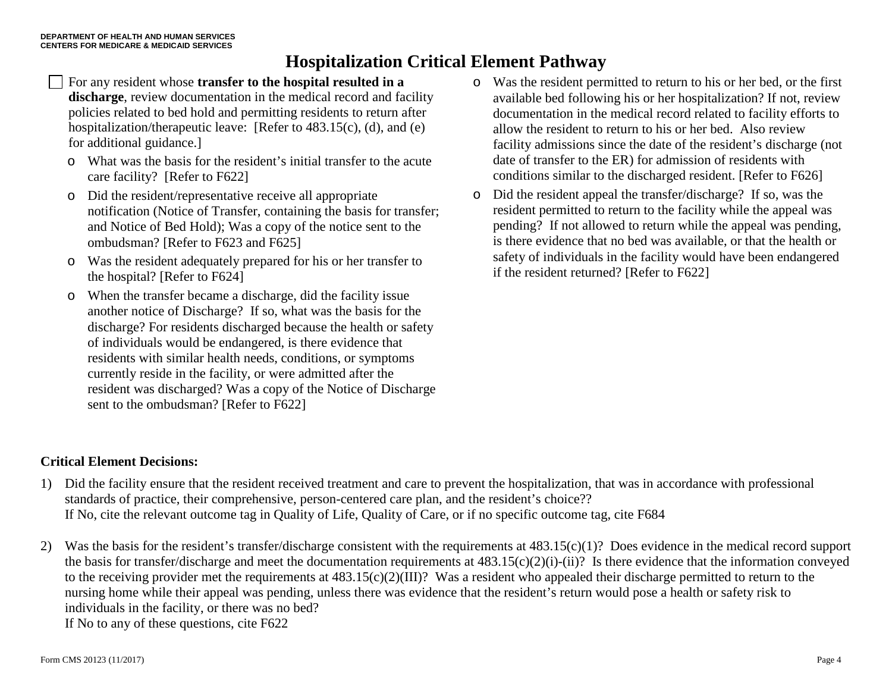- For any resident whose **transfer to the hospital resulted in a discharge**, review documentation in the medical record and facility policies related to bed hold and permitting residents to return after hospitalization/therapeutic leave: [Refer to 483.15(c), (d), and (e) for additional guidance.]
- o What was the basis for the resident's initial transfer to the acute care facility? [Refer to F622]
- o Did the resident/representative receive all appropriate notification (Notice of Transfer, containing the basis for transfer; and Notice of Bed Hold); Was a copy of the notice sent to the ombudsman? [Refer to F623 and F625]
- o Was the resident adequately prepared for his or her transfer to the hospital? [Refer to F624]
- o When the transfer became a discharge, did the facility issue another notice of Discharge? If so, what was the basis for the discharge? For residents discharged because the health or safety of individuals would be endangered, is there evidence that residents with similar health needs, conditions, or symptoms currently reside in the facility, or were admitted after the resident was discharged? Was a copy of the Notice of Discharge sent to the ombudsman? [Refer to F622]
- o Was the resident permitted to return to his or her bed, or the first available bed following his or her hospitalization? If not, review documentation in the medical record related to facility efforts to allow the resident to return to his or her bed. Also review facility admissions since the date of the resident's discharge (not date of transfer to the ER) for admission of residents with conditions similar to the discharged resident. [Refer to F626]
- o Did the resident appeal the transfer/discharge? If so, was the resident permitted to return to the facility while the appeal was pending? If not allowed to return while the appeal was pending, is there evidence that no bed was available, or that the health or safety of individuals in the facility would have been endangered if the resident returned? [Refer to F622]

### **Critical Element Decisions:**

- 1) Did the facility ensure that the resident received treatment and care to prevent the hospitalization, that was in accordance with professional standards of practice, their comprehensive, person-centered care plan, and the resident's choice?? If No, cite the relevant outcome tag in Quality of Life, Quality of Care, or if no specific outcome tag, cite F684
- 2) Was the basis for the resident's transfer/discharge consistent with the requirements at 483.15(c)(1)? Does evidence in the medical record support the basis for transfer/discharge and meet the documentation requirements at 483.15(c)(2)(i)-(ii)? Is there evidence that the information conveyed to the receiving provider met the requirements at 483.15(c)(2)(III)? Was a resident who appealed their discharge permitted to return to the nursing home while their appeal was pending, unless there was evidence that the resident's return would pose a health or safety risk to individuals in the facility, or there was no bed? If No to any of these questions, cite F622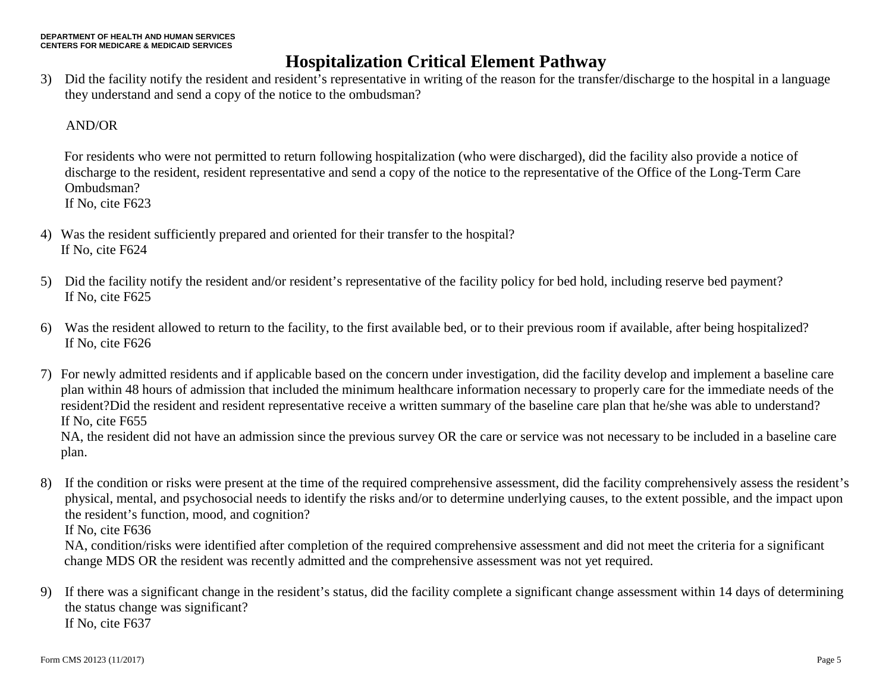3) Did the facility notify the resident and resident's representative in writing of the reason for the transfer/discharge to the hospital in a language they understand and send a copy of the notice to the ombudsman?

### AND/OR

For residents who were not permitted to return following hospitalization (who were discharged), did the facility also provide a notice of discharge to the resident, resident representative and send a copy of the notice to the representative of the Office of the Long-Term Care Ombudsman?

If No, cite F623

- 4) Was the resident sufficiently prepared and oriented for their transfer to the hospital? If No, cite F624
- 5) Did the facility notify the resident and/or resident's representative of the facility policy for bed hold, including reserve bed payment? If No, cite F625
- 6) Was the resident allowed to return to the facility, to the first available bed, or to their previous room if available, after being hospitalized? If No, cite F626
- 7) For newly admitted residents and if applicable based on the concern under investigation, did the facility develop and implement a baseline care plan within 48 hours of admission that included the minimum healthcare information necessary to properly care for the immediate needs of the resident?Did the resident and resident representative receive a written summary of the baseline care plan that he/she was able to understand? If No, cite F655

NA, the resident did not have an admission since the previous survey OR the care or service was not necessary to be included in a baseline care plan.

8) If the condition or risks were present at the time of the required comprehensive assessment, did the facility comprehensively assess the resident's physical, mental, and psychosocial needs to identify the risks and/or to determine underlying causes, to the extent possible, and the impact upon the resident's function, mood, and cognition? If No, cite F636

NA, condition/risks were identified after completion of the required comprehensive assessment and did not meet the criteria for a significant change MDS OR the resident was recently admitted and the comprehensive assessment was not yet required.

9) If there was a significant change in the resident's status, did the facility complete a significant change assessment within 14 days of determining the status change was significant? If No, cite F637